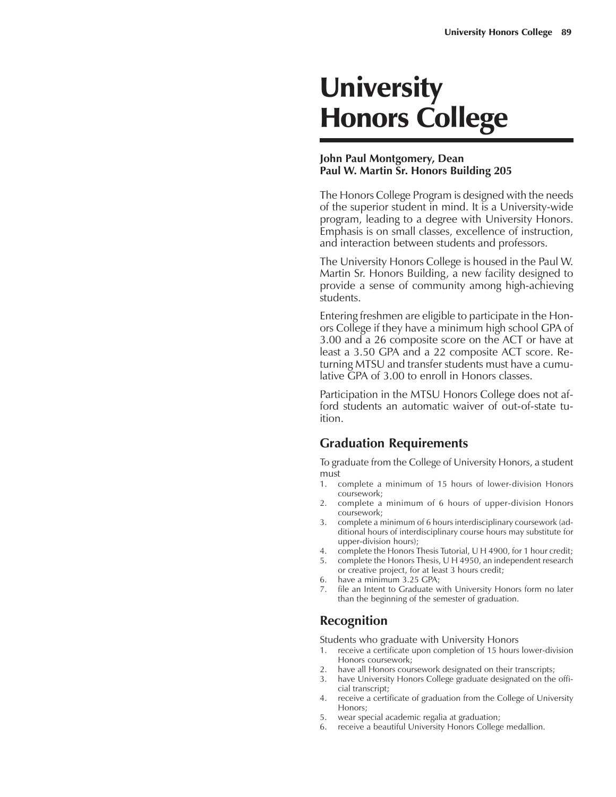# **University** Honors College

#### **John Paul Montgomery, Dean Paul W. Martin Sr. Honors Building 205**

The Honors College Program is designed with the needs of the superior student in mind. It is a University-wide program, leading to a degree with University Honors. Emphasis is on small classes, excellence of instruction, and interaction between students and professors.

The University Honors College is housed in the Paul W. Martin Sr. Honors Building, a new facility designed to provide a sense of community among high-achieving students.

Entering freshmen are eligible to participate in the Honors College if they have a minimum high school GPA of 3.00 and a 26 composite score on the ACT or have at least a 3.50 GPA and a 22 composite ACT score. Returning MTSU and transfer students must have a cumulative GPA of 3.00 to enroll in Honors classes.

Participation in the MTSU Honors College does not afford students an automatic waiver of out-of-state tuition.

#### **Graduation Requirements**

To graduate from the College of University Honors, a student must

- 1. complete a minimum of 15 hours of lower-division Honors coursework;
- 2. complete a minimum of 6 hours of upper-division Honors coursework;
- 3. complete a minimum of 6 hours interdisciplinary coursework (additional hours of interdisciplinary course hours may substitute for upper-division hours);
- 4. complete the Honors Thesis Tutorial, U H 4900, for 1 hour credit;
- 5. complete the Honors Thesis, U H 4950, an independent research or creative project, for at least 3 hours credit;
- 6. have a minimum 3.25 GPA;
- file an Intent to Graduate with University Honors form no later than the beginning of the semester of graduation.

# **Recognition**

Students who graduate with University Honors

- 1. receive a certificate upon completion of 15 hours lower-division Honors coursework;
- 2. have all Honors coursework designated on their transcripts;
- 3. have University Honors College graduate designated on the official transcript;
- 4. receive a certificate of graduation from the College of University Honors;
- 5. wear special academic regalia at graduation;
- 6. receive a beautiful University Honors College medallion.